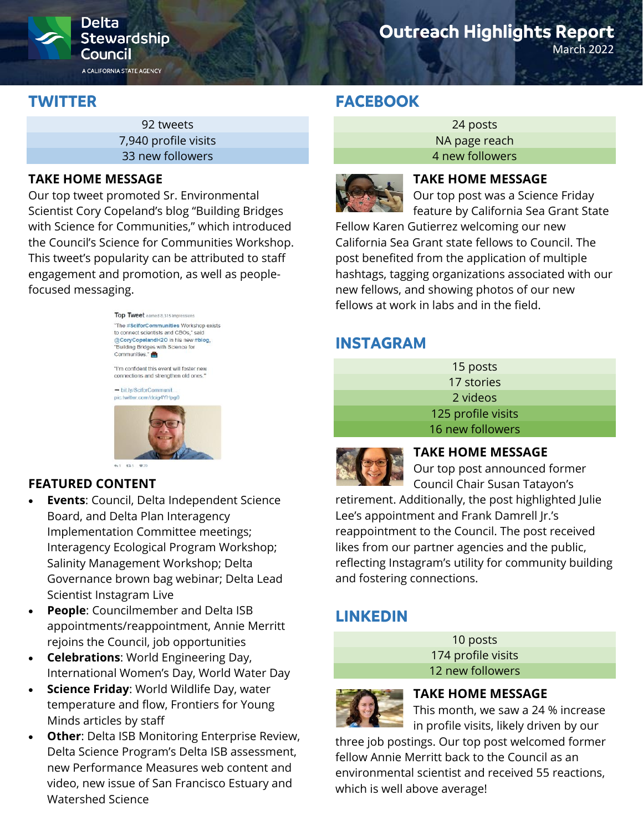

# **Outreach Highlights Report**

March 2022

## **TWITTER**

92 tweets 7,940 profile visits 33 new followers

### **TAKE HOME MESSAGE**

Our top tweet promoted Sr. Environmental Scientist Cory Copeland's blog "Building Bridges with Science for Communities," which introduced the Council's Science for Communities Workshop. This tweet's popularity can be attributed to staff engagement and promotion, as well as peoplefocused messaging.



### **FEATURED CONTENT**

- **Events**: Council, Delta Independent Science Board, and Delta Plan Interagency Implementation Committee meetings; Interagency Ecological Program Workshop; Salinity Management Workshop; Delta Governance brown bag webinar; Delta Lead Scientist Instagram Live
- **People**: Councilmember and Delta ISB appointments/reappointment, Annie Merritt rejoins the Council, job opportunities
- **Celebrations**: World Engineering Day, International Women's Day, World Water Day
- **Science Friday: World Wildlife Day, water** temperature and flow, Frontiers for Young Minds articles by staff
- **Other**: Delta ISB Monitoring Enterprise Review, Delta Science Program's Delta ISB assessment, new Performance Measures web content and video, new issue of San Francisco Estuary and Watershed Science

# **FACEBOOK**

24 posts NA page reach 4 new followers



**TAKE HOME MESSAGE**

Our top post was a Science Friday feature by California Sea Grant State

Fellow Karen Gutierrez welcoming our new California Sea Grant state fellows to Council. The post benefited from the application of multiple hashtags, tagging organizations associated with our new fellows, and showing photos of our new fellows at work in labs and in the field.

## **INSTAGRAM**

| 15 posts           |  |
|--------------------|--|
| 17 stories         |  |
| 2 videos           |  |
| 125 profile visits |  |
| 16 new followers   |  |



**TAKE HOME MESSAGE**

Our top post announced former Council Chair Susan Tatayon's

retirement. Additionally, the post highlighted Julie Lee's appointment and Frank Damrell Jr.'s reappointment to the Council. The post received likes from our partner agencies and the public, reflecting Instagram's utility for community building and fostering connections.

# **LINKEDIN**

10 posts 174 profile visits 12 new followers



### **TAKE HOME MESSAGE**

This month, we saw a 24 % increase in profile visits, likely driven by our

three job postings. Our top post welcomed former fellow Annie Merritt back to the Council as an environmental scientist and received 55 reactions, which is well above average!